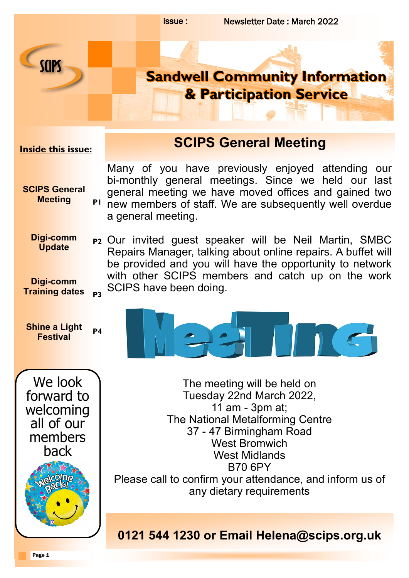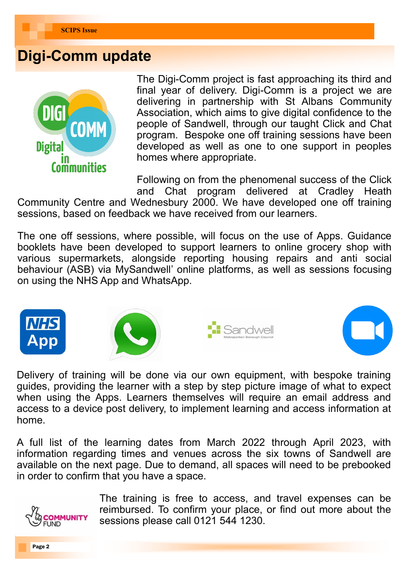## **Digi-Comm update**



The Digi-Comm project is fast approaching its third and final year of delivery. Digi-Comm is a project we are delivering in partnership with St Albans Community Association, which aims to give digital confidence to the people of Sandwell, through our taught Click and Chat program. Bespoke one off training sessions have been developed as well as one to one support in peoples homes where appropriate.

Following on from the phenomenal success of the Click and Chat program delivered at Cradley Heath

Community Centre and Wednesbury 2000. We have developed one off training sessions, based on feedback we have received from our learners.

The one off sessions, where possible, will focus on the use of Apps. Guidance booklets have been developed to support learners to online grocery shop with various supermarkets, alongside reporting housing repairs and anti social behaviour (ASB) via MySandwell' online platforms, as well as sessions focusing on using the NHS App and WhatsApp.









Delivery of training will be done via our own equipment, with bespoke training guides, providing the learner with a step by step picture image of what to expect when using the Apps. Learners themselves will require an email address and access to a device post delivery, to implement learning and access information at home.

A full list of the learning dates from March 2022 through April 2023, with information regarding times and venues across the six towns of Sandwell are available on the next page. Due to demand, all spaces will need to be prebooked in order to confirm that you have a space.



The training is free to access, and travel expenses can be reimbursed. To confirm your place, or find out more about the sessions please call 0121 544 1230.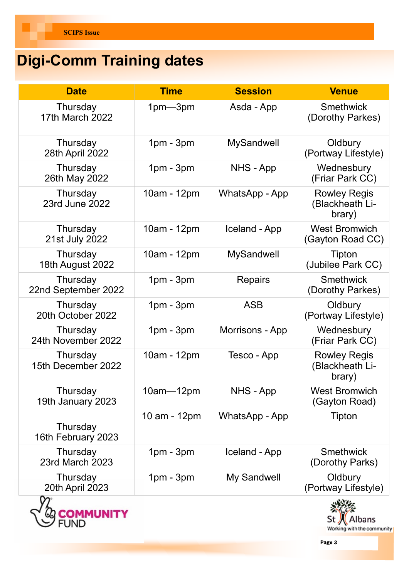# **Digi-Comm Training dates**

| <b>Date</b>                        | <b>Time</b>   | <b>Session</b>    | <b>Venue</b>                                     |
|------------------------------------|---------------|-------------------|--------------------------------------------------|
| Thursday<br><b>17th March 2022</b> | $1pm - 3pm$   | Asda - App        | <b>Smethwick</b><br>(Dorothy Parkes)             |
| Thursday<br>28th April 2022        | $1pm - 3pm$   | <b>MySandwell</b> | Oldbury<br>(Portway Lifestyle)                   |
| Thursday<br>26th May 2022          | $1pm - 3pm$   | NHS - App         | Wednesbury<br>(Friar Park CC)                    |
| Thursday<br>23rd June 2022         | 10am - 12pm   | WhatsApp - App    | <b>Rowley Regis</b><br>(Blackheath Li-<br>brary) |
| Thursday<br>21st July 2022         | 10am - 12pm   | Iceland - App     | <b>West Bromwich</b><br>(Gayton Road CC)         |
| Thursday<br>18th August 2022       | 10am - 12pm   | <b>MySandwell</b> | Tipton<br>(Jubilee Park CC)                      |
| Thursday<br>22nd September 2022    | $1pm - 3pm$   | <b>Repairs</b>    | <b>Smethwick</b><br>(Dorothy Parkes)             |
| Thursday<br>20th October 2022      | $1pm - 3pm$   | <b>ASB</b>        | Oldbury<br>(Portway Lifestyle)                   |
| Thursday<br>24th November 2022     | $1pm - 3pm$   | Morrisons - App   | Wednesbury<br>(Friar Park CC)                    |
| Thursday<br>15th December 2022     | 10am - 12pm   | Tesco - App       | <b>Rowley Regis</b><br>(Blackheath Li-<br>brary) |
| Thursday<br>19th January 2023      | $10am - 12pm$ | NHS - App         | <b>West Bromwich</b><br>(Gayton Road)            |
| Thursday<br>16th February 2023     | 10 am - 12pm  | WhatsApp - App    | <b>Tipton</b>                                    |
| Thursday<br>23rd March 2023        | $1pm - 3pm$   | Iceland - App     | <b>Smethwick</b><br>(Dorothy Parks)              |
| Thursday<br>20th April 2023        | $1pm - 3pm$   | My Sandwell       | Oldbury<br>(Portway Lifestyle)                   |